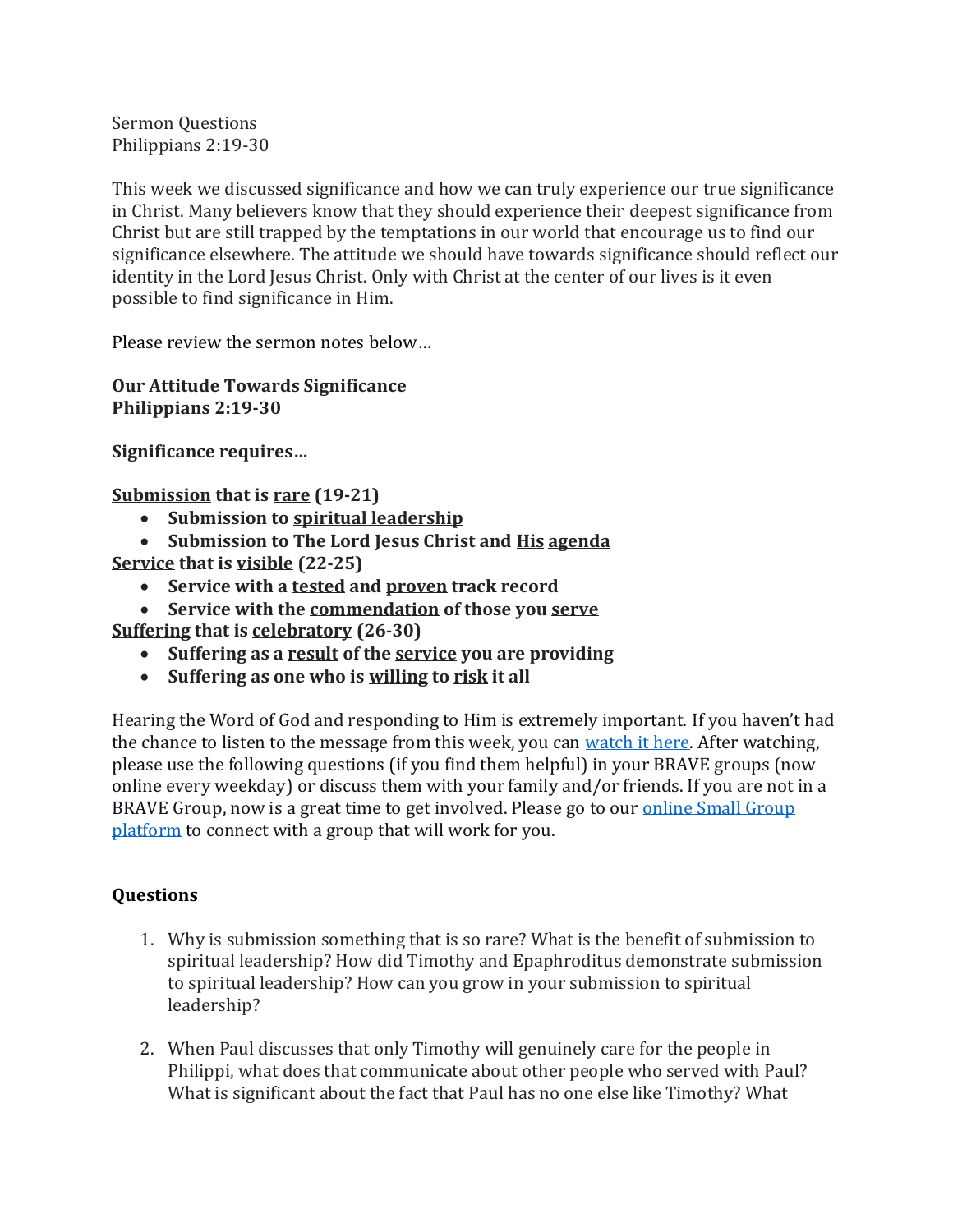Sermon Questions Philippians 2:19-30

This week we discussed significance and how we can truly experience our true significance in Christ. Many believers know that they should experience their deepest significance from Christ but are still trapped by the temptations in our world that encourage us to find our significance elsewhere. The attitude we should have towards significance should reflect our identity in the Lord Jesus Christ. Only with Christ at the center of our lives is it even possible to find significance in Him.

Please review the sermon notes below…

**Our Attitude Towards Significance Philippians 2:19-30**

**Significance requires…**

**Submission that is rare (19-21)**

- **Submission to spiritual leadership**
- **Submission to The Lord Jesus Christ and His agenda**
- **Service that is visible (22-25)** 
	- **Service with a tested and proven track record**
	- **Service with the commendation of those you serve**

**Suffering that is celebratory (26-30)** 

- **Suffering as a result of the service you are providing**
- **Suffering as one who is willing to risk it all**

Hearing the Word of God and responding to Him is extremely important. If you haven't had the chance to listen to the message from this week, you can [watch it here.](https://bravechurch.co/sermons/) After watching, please use the following questions (if you find them helpful) in your BRAVE groups (now online every weekday) or discuss them with your family and/or friends. If you are not in a BRAVE Group, now is a great time to get involved. Please go to our online Small Group [platform](https://my.bravechurch.co/groupfinder) to connect with a group that will work for you.

## **Questions**

- 1. Why is submission something that is so rare? What is the benefit of submission to spiritual leadership? How did Timothy and Epaphroditus demonstrate submission to spiritual leadership? How can you grow in your submission to spiritual leadership?
- 2. When Paul discusses that only Timothy will genuinely care for the people in Philippi, what does that communicate about other people who served with Paul? What is significant about the fact that Paul has no one else like Timothy? What